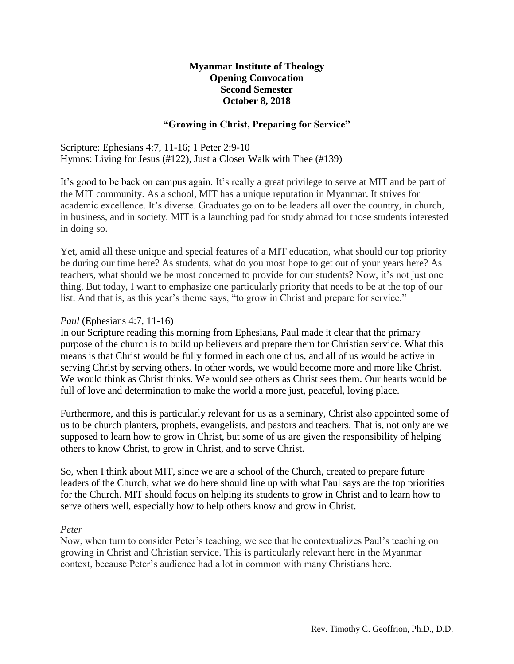## **Myanmar Institute of Theology Opening Convocation Second Semester October 8, 2018**

## **"Growing in Christ, Preparing for Service"**

Scripture: Ephesians 4:7, 11-16; 1 Peter 2:9-10 Hymns: Living for Jesus (#122), Just a Closer Walk with Thee (#139)

It's good to be back on campus again. It's really a great privilege to serve at MIT and be part of the MIT community. As a school, MIT has a unique reputation in Myanmar. It strives for academic excellence. It's diverse. Graduates go on to be leaders all over the country, in church, in business, and in society. MIT is a launching pad for study abroad for those students interested in doing so.

Yet, amid all these unique and special features of a MIT education, what should our top priority be during our time here? As students, what do you most hope to get out of your years here? As teachers, what should we be most concerned to provide for our students? Now, it's not just one thing. But today, I want to emphasize one particularly priority that needs to be at the top of our list. And that is, as this year's theme says, "to grow in Christ and prepare for service."

### *Paul* (Ephesians 4:7, 11-16)

In our Scripture reading this morning from Ephesians, Paul made it clear that the primary purpose of the church is to build up believers and prepare them for Christian service. What this means is that Christ would be fully formed in each one of us, and all of us would be active in serving Christ by serving others. In other words, we would become more and more like Christ. We would think as Christ thinks. We would see others as Christ sees them. Our hearts would be full of love and determination to make the world a more just, peaceful, loving place.

Furthermore, and this is particularly relevant for us as a seminary, Christ also appointed some of us to be church planters, prophets, evangelists, and pastors and teachers. That is, not only are we supposed to learn how to grow in Christ, but some of us are given the responsibility of helping others to know Christ, to grow in Christ, and to serve Christ.

So, when I think about MIT, since we are a school of the Church, created to prepare future leaders of the Church, what we do here should line up with what Paul says are the top priorities for the Church. MIT should focus on helping its students to grow in Christ and to learn how to serve others well, especially how to help others know and grow in Christ.

### *Peter*

Now, when turn to consider Peter's teaching, we see that he contextualizes Paul's teaching on growing in Christ and Christian service. This is particularly relevant here in the Myanmar context, because Peter's audience had a lot in common with many Christians here.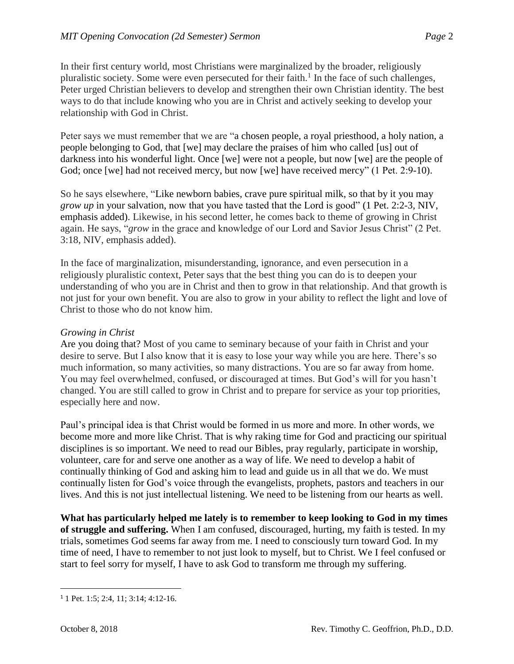In their first century world, most Christians were marginalized by the broader, religiously pluralistic society. Some were even persecuted for their faith.<sup>1</sup> In the face of such challenges, Peter urged Christian believers to develop and strengthen their own Christian identity. The best ways to do that include knowing who you are in Christ and actively seeking to develop your relationship with God in Christ.

Peter says we must remember that we are "a chosen people, a royal priesthood, a holy nation, a people belonging to God, that [we] may declare the praises of him who called [us] out of darkness into his wonderful light. Once [we] were not a people, but now [we] are the people of God; once [we] had not received mercy, but now [we] have received mercy" (1 Pet. 2:9-10).

So he says elsewhere, "Like newborn babies, crave pure spiritual milk, so that by it you may *grow up* in your salvation, now that you have tasted that the Lord is good" (1 Pet. 2:2-3, NIV, emphasis added). Likewise, in his second letter, he comes back to theme of growing in Christ again. He says, "*grow* in the grace and knowledge of our Lord and Savior Jesus Christ" (2 Pet. 3:18, NIV, emphasis added).

In the face of marginalization, misunderstanding, ignorance, and even persecution in a religiously pluralistic context, Peter says that the best thing you can do is to deepen your understanding of who you are in Christ and then to grow in that relationship. And that growth is not just for your own benefit. You are also to grow in your ability to reflect the light and love of Christ to those who do not know him.

# *Growing in Christ*

Are you doing that? Most of you came to seminary because of your faith in Christ and your desire to serve. But I also know that it is easy to lose your way while you are here. There's so much information, so many activities, so many distractions. You are so far away from home. You may feel overwhelmed, confused, or discouraged at times. But God's will for you hasn't changed. You are still called to grow in Christ and to prepare for service as your top priorities, especially here and now.

Paul's principal idea is that Christ would be formed in us more and more. In other words, we become more and more like Christ. That is why raking time for God and practicing our spiritual disciplines is so important. We need to read our Bibles, pray regularly, participate in worship, volunteer, care for and serve one another as a way of life. We need to develop a habit of continually thinking of God and asking him to lead and guide us in all that we do. We must continually listen for God's voice through the evangelists, prophets, pastors and teachers in our lives. And this is not just intellectual listening. We need to be listening from our hearts as well.

**What has particularly helped me lately is to remember to keep looking to God in my times of struggle and suffering.** When I am confused, discouraged, hurting, my faith is tested. In my trials, sometimes God seems far away from me. I need to consciously turn toward God. In my time of need, I have to remember to not just look to myself, but to Christ. We I feel confused or start to feel sorry for myself, I have to ask God to transform me through my suffering.

 $\overline{a}$ 

<sup>1</sup> 1 Pet. 1:5; 2:4, 11; 3:14; 4:12-16.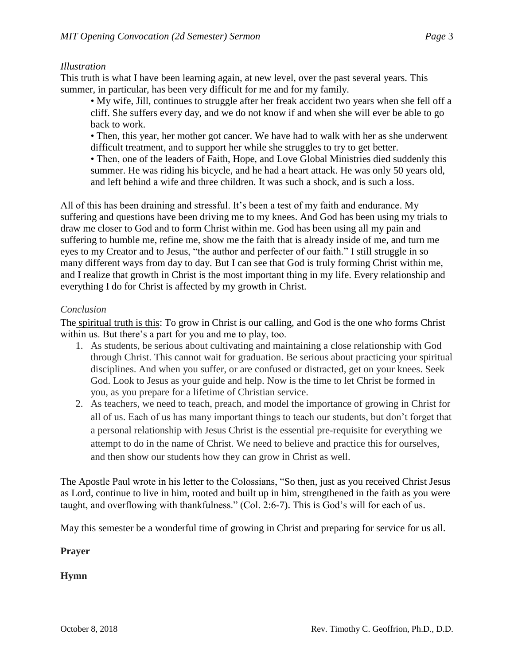## *Illustration*

This truth is what I have been learning again, at new level, over the past several years. This summer, in particular, has been very difficult for me and for my family.

• My wife, Jill, continues to struggle after her freak accident two years when she fell off a cliff. She suffers every day, and we do not know if and when she will ever be able to go back to work.

• Then, this year, her mother got cancer. We have had to walk with her as she underwent difficult treatment, and to support her while she struggles to try to get better.

• Then, one of the leaders of Faith, Hope, and Love Global Ministries died suddenly this summer. He was riding his bicycle, and he had a heart attack. He was only 50 years old, and left behind a wife and three children. It was such a shock, and is such a loss.

All of this has been draining and stressful. It's been a test of my faith and endurance. My suffering and questions have been driving me to my knees. And God has been using my trials to draw me closer to God and to form Christ within me. God has been using all my pain and suffering to humble me, refine me, show me the faith that is already inside of me, and turn me eyes to my Creator and to Jesus, "the author and perfecter of our faith." I still struggle in so many different ways from day to day. But I can see that God is truly forming Christ within me, and I realize that growth in Christ is the most important thing in my life. Every relationship and everything I do for Christ is affected by my growth in Christ.

# *Conclusion*

The spiritual truth is this: To grow in Christ is our calling, and God is the one who forms Christ within us. But there's a part for you and me to play, too.

- 1. As students, be serious about cultivating and maintaining a close relationship with God through Christ. This cannot wait for graduation. Be serious about practicing your spiritual disciplines. And when you suffer, or are confused or distracted, get on your knees. Seek God. Look to Jesus as your guide and help. Now is the time to let Christ be formed in you, as you prepare for a lifetime of Christian service.
- 2. As teachers, we need to teach, preach, and model the importance of growing in Christ for all of us. Each of us has many important things to teach our students, but don't forget that a personal relationship with Jesus Christ is the essential pre-requisite for everything we attempt to do in the name of Christ. We need to believe and practice this for ourselves, and then show our students how they can grow in Christ as well.

The Apostle Paul wrote in his letter to the Colossians, "So then, just as you received Christ Jesus as Lord, continue to live in him, rooted and built up in him, strengthened in the faith as you were taught, and overflowing with thankfulness." (Col. 2:6-7). This is God's will for each of us.

May this semester be a wonderful time of growing in Christ and preparing for service for us all.

**Prayer**

**Hymn**